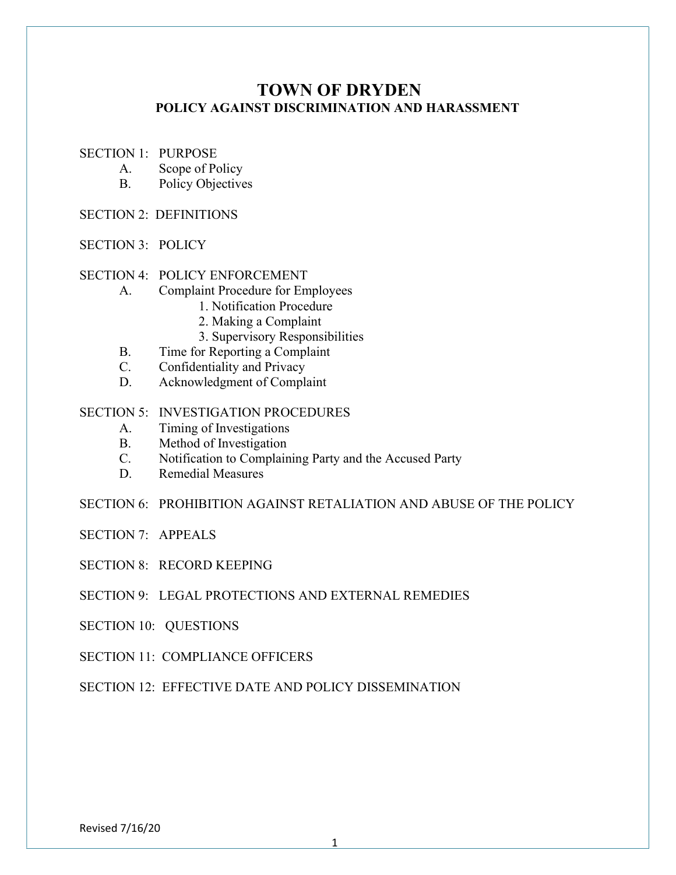# TOWN OF DRYDEN POLICY AGAINST DISCRIMINATION AND HARASSMENT

- SECTION 1: PURPOSE
	- A. Scope of Policy
	- B. Policy Objectives
- SECTION 2: DEFINITIONS
- SECTION 3: POLICY

### SECTION 4: POLICY ENFORCEMENT

- A. Complaint Procedure for Employees
	- 1. Notification Procedure
	- 2. Making a Complaint
	- 3. Supervisory Responsibilities
- B. Time for Reporting a Complaint
- C. Confidentiality and Privacy
- D. Acknowledgment of Complaint

### SECTION 5: INVESTIGATION PROCEDURES

- A. Timing of Investigations
- B. Method of Investigation
- C. Notification to Complaining Party and the Accused Party
- D. Remedial Measures
- SECTION 6: PROHIBITION AGAINST RETALIATION AND ABUSE OF THE POLICY
- SECTION 7: APPEALS
- SECTION 8: RECORD KEEPING
- SECTION 9: LEGAL PROTECTIONS AND EXTERNAL REMEDIES
- SECTION 10: QUESTIONS
- SECTION 11: COMPLIANCE OFFICERS
- SECTION 12: EFFECTIVE DATE AND POLICY DISSEMINATION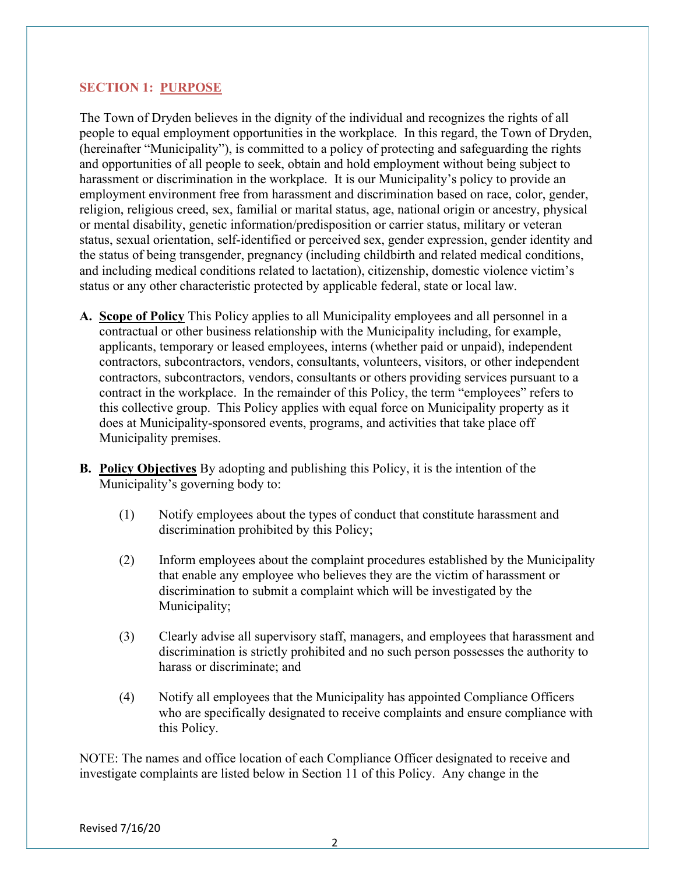# SECTION 1: PURPOSE

The Town of Dryden believes in the dignity of the individual and recognizes the rights of all people to equal employment opportunities in the workplace. In this regard, the Town of Dryden, (hereinafter "Municipality"), is committed to a policy of protecting and safeguarding the rights and opportunities of all people to seek, obtain and hold employment without being subject to harassment or discrimination in the workplace. It is our Municipality's policy to provide an employment environment free from harassment and discrimination based on race, color, gender, religion, religious creed, sex, familial or marital status, age, national origin or ancestry, physical or mental disability, genetic information/predisposition or carrier status, military or veteran status, sexual orientation, self-identified or perceived sex, gender expression, gender identity and the status of being transgender, pregnancy (including childbirth and related medical conditions, and including medical conditions related to lactation), citizenship, domestic violence victim's status or any other characteristic protected by applicable federal, state or local law.

- A. Scope of Policy This Policy applies to all Municipality employees and all personnel in a contractual or other business relationship with the Municipality including, for example, applicants, temporary or leased employees, interns (whether paid or unpaid), independent contractors, subcontractors, vendors, consultants, volunteers, visitors, or other independent contractors, subcontractors, vendors, consultants or others providing services pursuant to a contract in the workplace. In the remainder of this Policy, the term "employees" refers to this collective group. This Policy applies with equal force on Municipality property as it does at Municipality-sponsored events, programs, and activities that take place off Municipality premises.
- B. Policy Objectives By adopting and publishing this Policy, it is the intention of the Municipality's governing body to:
	- (1) Notify employees about the types of conduct that constitute harassment and discrimination prohibited by this Policy;
	- (2) Inform employees about the complaint procedures established by the Municipality that enable any employee who believes they are the victim of harassment or discrimination to submit a complaint which will be investigated by the Municipality;
	- (3) Clearly advise all supervisory staff, managers, and employees that harassment and discrimination is strictly prohibited and no such person possesses the authority to harass or discriminate; and
	- (4) Notify all employees that the Municipality has appointed Compliance Officers who are specifically designated to receive complaints and ensure compliance with this Policy.

NOTE: The names and office location of each Compliance Officer designated to receive and investigate complaints are listed below in Section 11 of this Policy. Any change in the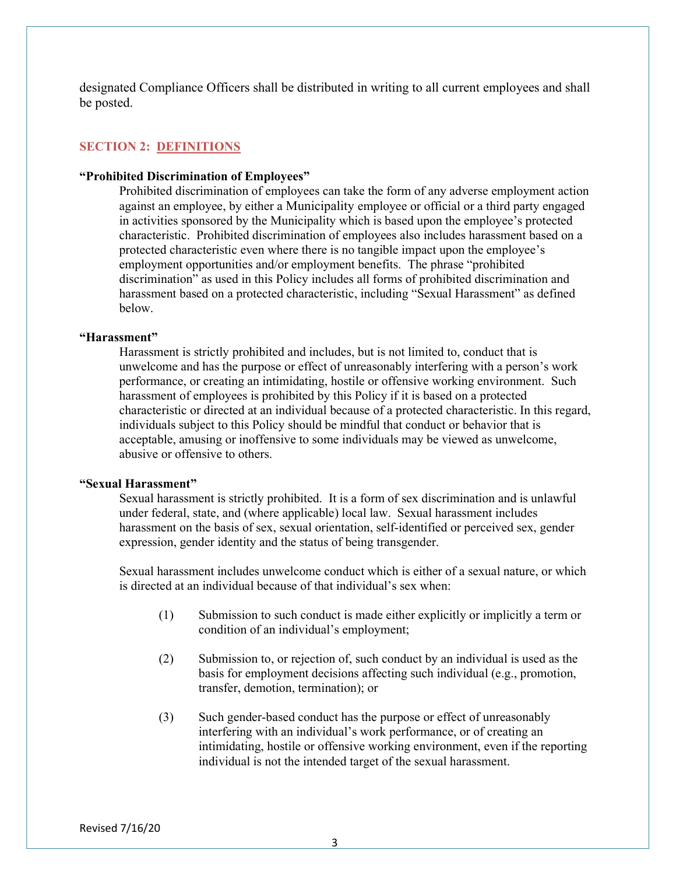designated Compliance Officers shall be distributed in writing to all current employees and shall be posted.

### SECTION 2: DEFINITIONS

#### "Prohibited Discrimination of Employees"

Prohibited discrimination of employees can take the form of any adverse employment action against an employee, by either a Municipality employee or official or a third party engaged in activities sponsored by the Municipality which is based upon the employee's protected characteristic. Prohibited discrimination of employees also includes harassment based on a protected characteristic even where there is no tangible impact upon the employee's employment opportunities and/or employment benefits. The phrase "prohibited discrimination" as used in this Policy includes all forms of prohibited discrimination and harassment based on a protected characteristic, including "Sexual Harassment" as defined below.

### "Harassment"

Harassment is strictly prohibited and includes, but is not limited to, conduct that is unwelcome and has the purpose or effect of unreasonably interfering with a person's work performance, or creating an intimidating, hostile or offensive working environment. Such harassment of employees is prohibited by this Policy if it is based on a protected characteristic or directed at an individual because of a protected characteristic. In this regard, individuals subject to this Policy should be mindful that conduct or behavior that is acceptable, amusing or inoffensive to some individuals may be viewed as unwelcome, abusive or offensive to others.

#### "Sexual Harassment"

Sexual harassment is strictly prohibited. It is a form of sex discrimination and is unlawful under federal, state, and (where applicable) local law. Sexual harassment includes harassment on the basis of sex, sexual orientation, self-identified or perceived sex, gender expression, gender identity and the status of being transgender.

Sexual harassment includes unwelcome conduct which is either of a sexual nature, or which is directed at an individual because of that individual's sex when:

- (1) Submission to such conduct is made either explicitly or implicitly a term or condition of an individual's employment;
- (2) Submission to, or rejection of, such conduct by an individual is used as the basis for employment decisions affecting such individual (e.g., promotion, transfer, demotion, termination); or
- (3) Such gender-based conduct has the purpose or effect of unreasonably interfering with an individual's work performance, or of creating an intimidating, hostile or offensive working environment, even if the reporting individual is not the intended target of the sexual harassment.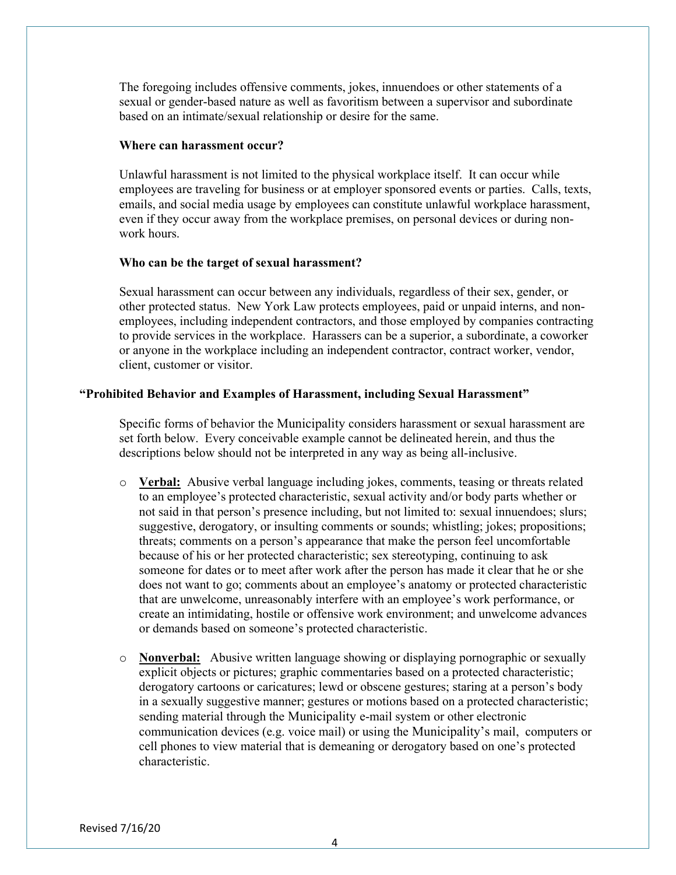The foregoing includes offensive comments, jokes, innuendoes or other statements of a sexual or gender-based nature as well as favoritism between a supervisor and subordinate based on an intimate/sexual relationship or desire for the same.

#### Where can harassment occur?

 Unlawful harassment is not limited to the physical workplace itself. It can occur while employees are traveling for business or at employer sponsored events or parties. Calls, texts, emails, and social media usage by employees can constitute unlawful workplace harassment, even if they occur away from the workplace premises, on personal devices or during nonwork hours.

### Who can be the target of sexual harassment?

 Sexual harassment can occur between any individuals, regardless of their sex, gender, or other protected status. New York Law protects employees, paid or unpaid interns, and nonemployees, including independent contractors, and those employed by companies contracting to provide services in the workplace. Harassers can be a superior, a subordinate, a coworker or anyone in the workplace including an independent contractor, contract worker, vendor, client, customer or visitor.

### "Prohibited Behavior and Examples of Harassment, including Sexual Harassment"

 Specific forms of behavior the Municipality considers harassment or sexual harassment are set forth below. Every conceivable example cannot be delineated herein, and thus the descriptions below should not be interpreted in any way as being all-inclusive.

- $\circ$  Verbal: Abusive verbal language including jokes, comments, teasing or threats related to an employee's protected characteristic, sexual activity and/or body parts whether or not said in that person's presence including, but not limited to: sexual innuendoes; slurs; suggestive, derogatory, or insulting comments or sounds; whistling; jokes; propositions; threats; comments on a person's appearance that make the person feel uncomfortable because of his or her protected characteristic; sex stereotyping, continuing to ask someone for dates or to meet after work after the person has made it clear that he or she does not want to go; comments about an employee's anatomy or protected characteristic that are unwelcome, unreasonably interfere with an employee's work performance, or create an intimidating, hostile or offensive work environment; and unwelcome advances or demands based on someone's protected characteristic.
- o Nonverbal: Abusive written language showing or displaying pornographic or sexually explicit objects or pictures; graphic commentaries based on a protected characteristic; derogatory cartoons or caricatures; lewd or obscene gestures; staring at a person's body in a sexually suggestive manner; gestures or motions based on a protected characteristic; sending material through the Municipality e-mail system or other electronic communication devices (e.g. voice mail) or using the Municipality's mail, computers or cell phones to view material that is demeaning or derogatory based on one's protected characteristic.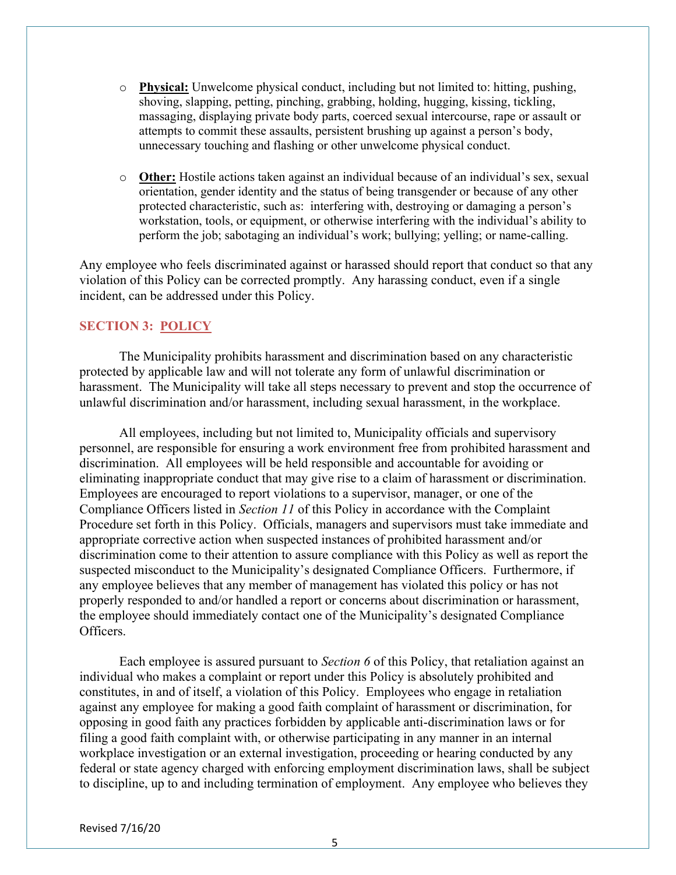- $\circ$  **Physical:** Unwelcome physical conduct, including but not limited to: hitting, pushing, shoving, slapping, petting, pinching, grabbing, holding, hugging, kissing, tickling, massaging, displaying private body parts, coerced sexual intercourse, rape or assault or attempts to commit these assaults, persistent brushing up against a person's body, unnecessary touching and flashing or other unwelcome physical conduct.
- o Other: Hostile actions taken against an individual because of an individual's sex, sexual orientation, gender identity and the status of being transgender or because of any other protected characteristic, such as: interfering with, destroying or damaging a person's workstation, tools, or equipment, or otherwise interfering with the individual's ability to perform the job; sabotaging an individual's work; bullying; yelling; or name-calling.

Any employee who feels discriminated against or harassed should report that conduct so that any violation of this Policy can be corrected promptly. Any harassing conduct, even if a single incident, can be addressed under this Policy.

### SECTION 3: POLICY

 The Municipality prohibits harassment and discrimination based on any characteristic protected by applicable law and will not tolerate any form of unlawful discrimination or harassment. The Municipality will take all steps necessary to prevent and stop the occurrence of unlawful discrimination and/or harassment, including sexual harassment, in the workplace.

 All employees, including but not limited to, Municipality officials and supervisory personnel, are responsible for ensuring a work environment free from prohibited harassment and discrimination. All employees will be held responsible and accountable for avoiding or eliminating inappropriate conduct that may give rise to a claim of harassment or discrimination. Employees are encouraged to report violations to a supervisor, manager, or one of the Compliance Officers listed in Section 11 of this Policy in accordance with the Complaint Procedure set forth in this Policy. Officials, managers and supervisors must take immediate and appropriate corrective action when suspected instances of prohibited harassment and/or discrimination come to their attention to assure compliance with this Policy as well as report the suspected misconduct to the Municipality's designated Compliance Officers. Furthermore, if any employee believes that any member of management has violated this policy or has not properly responded to and/or handled a report or concerns about discrimination or harassment, the employee should immediately contact one of the Municipality's designated Compliance Officers.

Each employee is assured pursuant to *Section 6* of this Policy, that retaliation against an individual who makes a complaint or report under this Policy is absolutely prohibited and constitutes, in and of itself, a violation of this Policy. Employees who engage in retaliation against any employee for making a good faith complaint of harassment or discrimination, for opposing in good faith any practices forbidden by applicable anti-discrimination laws or for filing a good faith complaint with, or otherwise participating in any manner in an internal workplace investigation or an external investigation, proceeding or hearing conducted by any federal or state agency charged with enforcing employment discrimination laws, shall be subject to discipline, up to and including termination of employment. Any employee who believes they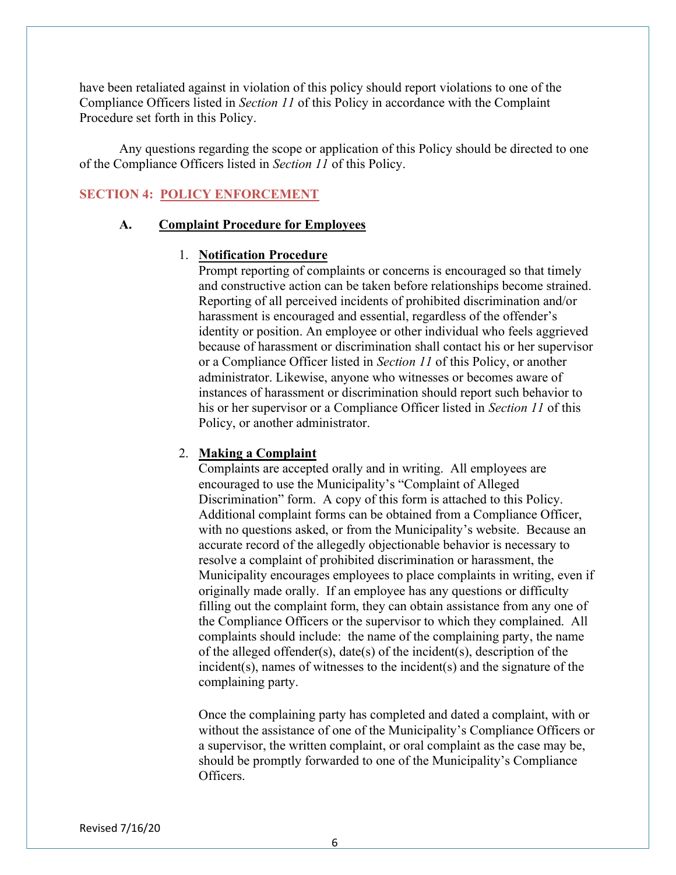have been retaliated against in violation of this policy should report violations to one of the Compliance Officers listed in Section 11 of this Policy in accordance with the Complaint Procedure set forth in this Policy.

 Any questions regarding the scope or application of this Policy should be directed to one of the Compliance Officers listed in Section 11 of this Policy.

### SECTION 4: POLICY ENFORCEMENT

### A. Complaint Procedure for Employees

### 1. Notification Procedure

Prompt reporting of complaints or concerns is encouraged so that timely and constructive action can be taken before relationships become strained. Reporting of all perceived incidents of prohibited discrimination and/or harassment is encouraged and essential, regardless of the offender's identity or position. An employee or other individual who feels aggrieved because of harassment or discrimination shall contact his or her supervisor or a Compliance Officer listed in Section 11 of this Policy, or another administrator. Likewise, anyone who witnesses or becomes aware of instances of harassment or discrimination should report such behavior to his or her supervisor or a Compliance Officer listed in Section 11 of this Policy, or another administrator.

#### 2. Making a Complaint

Complaints are accepted orally and in writing. All employees are encouraged to use the Municipality's "Complaint of Alleged Discrimination" form. A copy of this form is attached to this Policy. Additional complaint forms can be obtained from a Compliance Officer, with no questions asked, or from the Municipality's website. Because an accurate record of the allegedly objectionable behavior is necessary to resolve a complaint of prohibited discrimination or harassment, the Municipality encourages employees to place complaints in writing, even if originally made orally. If an employee has any questions or difficulty filling out the complaint form, they can obtain assistance from any one of the Compliance Officers or the supervisor to which they complained. All complaints should include: the name of the complaining party, the name of the alleged offender(s), date(s) of the incident(s), description of the incident(s), names of witnesses to the incident(s) and the signature of the complaining party.

Once the complaining party has completed and dated a complaint, with or without the assistance of one of the Municipality's Compliance Officers or a supervisor, the written complaint, or oral complaint as the case may be, should be promptly forwarded to one of the Municipality's Compliance Officers.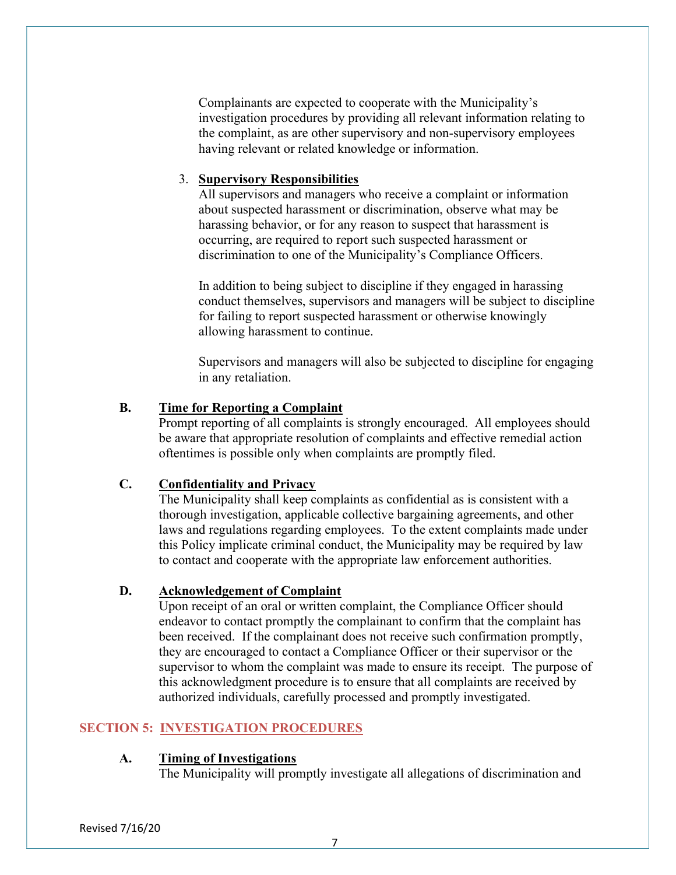Complainants are expected to cooperate with the Municipality's investigation procedures by providing all relevant information relating to the complaint, as are other supervisory and non-supervisory employees having relevant or related knowledge or information.

# 3. Supervisory Responsibilities

All supervisors and managers who receive a complaint or information about suspected harassment or discrimination, observe what may be harassing behavior, or for any reason to suspect that harassment is occurring, are required to report such suspected harassment or discrimination to one of the Municipality's Compliance Officers.

In addition to being subject to discipline if they engaged in harassing conduct themselves, supervisors and managers will be subject to discipline for failing to report suspected harassment or otherwise knowingly allowing harassment to continue.

Supervisors and managers will also be subjected to discipline for engaging in any retaliation.

# B. Time for Reporting a Complaint

Prompt reporting of all complaints is strongly encouraged. All employees should be aware that appropriate resolution of complaints and effective remedial action oftentimes is possible only when complaints are promptly filed.

# C. Confidentiality and Privacy

The Municipality shall keep complaints as confidential as is consistent with a thorough investigation, applicable collective bargaining agreements, and other laws and regulations regarding employees. To the extent complaints made under this Policy implicate criminal conduct, the Municipality may be required by law to contact and cooperate with the appropriate law enforcement authorities.

# D. Acknowledgement of Complaint

Upon receipt of an oral or written complaint, the Compliance Officer should endeavor to contact promptly the complainant to confirm that the complaint has been received. If the complainant does not receive such confirmation promptly, they are encouraged to contact a Compliance Officer or their supervisor or the supervisor to whom the complaint was made to ensure its receipt. The purpose of this acknowledgment procedure is to ensure that all complaints are received by authorized individuals, carefully processed and promptly investigated.

# SECTION 5: INVESTIGATION PROCEDURES

### A. Timing of Investigations

The Municipality will promptly investigate all allegations of discrimination and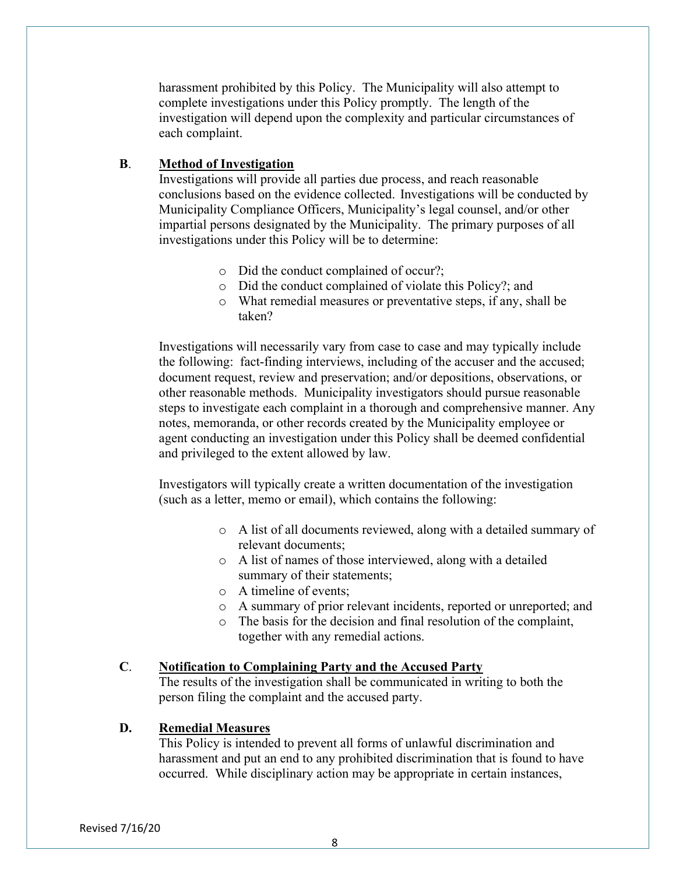harassment prohibited by this Policy. The Municipality will also attempt to complete investigations under this Policy promptly. The length of the investigation will depend upon the complexity and particular circumstances of each complaint.

### B. Method of Investigation

 Investigations will provide all parties due process, and reach reasonable conclusions based on the evidence collected. Investigations will be conducted by Municipality Compliance Officers, Municipality's legal counsel, and/or other impartial persons designated by the Municipality. The primary purposes of all investigations under this Policy will be to determine:

- o Did the conduct complained of occur?;
- o Did the conduct complained of violate this Policy?; and
- o What remedial measures or preventative steps, if any, shall be taken?

Investigations will necessarily vary from case to case and may typically include the following: fact-finding interviews, including of the accuser and the accused; document request, review and preservation; and/or depositions, observations, or other reasonable methods. Municipality investigators should pursue reasonable steps to investigate each complaint in a thorough and comprehensive manner. Any notes, memoranda, or other records created by the Municipality employee or agent conducting an investigation under this Policy shall be deemed confidential and privileged to the extent allowed by law.

Investigators will typically create a written documentation of the investigation (such as a letter, memo or email), which contains the following:

- o A list of all documents reviewed, along with a detailed summary of relevant documents;
- o A list of names of those interviewed, along with a detailed summary of their statements;
- o A timeline of events;
- o A summary of prior relevant incidents, reported or unreported; and
- o The basis for the decision and final resolution of the complaint, together with any remedial actions.

#### C. Notification to Complaining Party and the Accused Party

The results of the investigation shall be communicated in writing to both the person filing the complaint and the accused party.

### D. Remedial Measures

This Policy is intended to prevent all forms of unlawful discrimination and harassment and put an end to any prohibited discrimination that is found to have occurred. While disciplinary action may be appropriate in certain instances,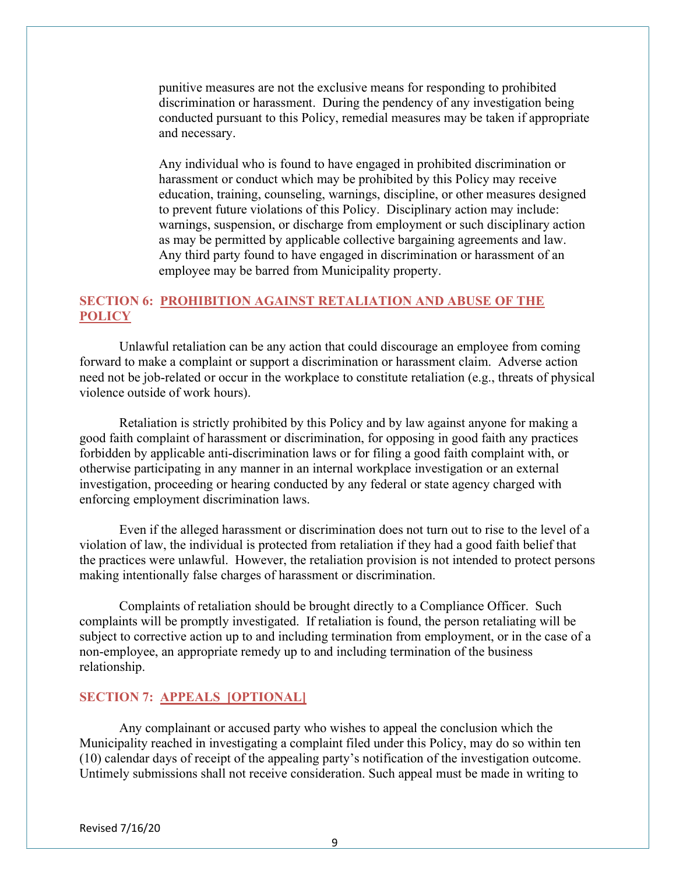punitive measures are not the exclusive means for responding to prohibited discrimination or harassment. During the pendency of any investigation being conducted pursuant to this Policy, remedial measures may be taken if appropriate and necessary.

Any individual who is found to have engaged in prohibited discrimination or harassment or conduct which may be prohibited by this Policy may receive education, training, counseling, warnings, discipline, or other measures designed to prevent future violations of this Policy. Disciplinary action may include: warnings, suspension, or discharge from employment or such disciplinary action as may be permitted by applicable collective bargaining agreements and law. Any third party found to have engaged in discrimination or harassment of an employee may be barred from Municipality property.

# SECTION 6: PROHIBITION AGAINST RETALIATION AND ABUSE OF THE **POLICY**

 Unlawful retaliation can be any action that could discourage an employee from coming forward to make a complaint or support a discrimination or harassment claim. Adverse action need not be job-related or occur in the workplace to constitute retaliation (e.g., threats of physical violence outside of work hours).

 Retaliation is strictly prohibited by this Policy and by law against anyone for making a good faith complaint of harassment or discrimination, for opposing in good faith any practices forbidden by applicable anti-discrimination laws or for filing a good faith complaint with, or otherwise participating in any manner in an internal workplace investigation or an external investigation, proceeding or hearing conducted by any federal or state agency charged with enforcing employment discrimination laws.

 Even if the alleged harassment or discrimination does not turn out to rise to the level of a violation of law, the individual is protected from retaliation if they had a good faith belief that the practices were unlawful. However, the retaliation provision is not intended to protect persons making intentionally false charges of harassment or discrimination.

 Complaints of retaliation should be brought directly to a Compliance Officer. Such complaints will be promptly investigated. If retaliation is found, the person retaliating will be subject to corrective action up to and including termination from employment, or in the case of a non-employee, an appropriate remedy up to and including termination of the business relationship.

## SECTION 7: APPEALS [OPTIONAL]

 Any complainant or accused party who wishes to appeal the conclusion which the Municipality reached in investigating a complaint filed under this Policy, may do so within ten (10) calendar days of receipt of the appealing party's notification of the investigation outcome. Untimely submissions shall not receive consideration. Such appeal must be made in writing to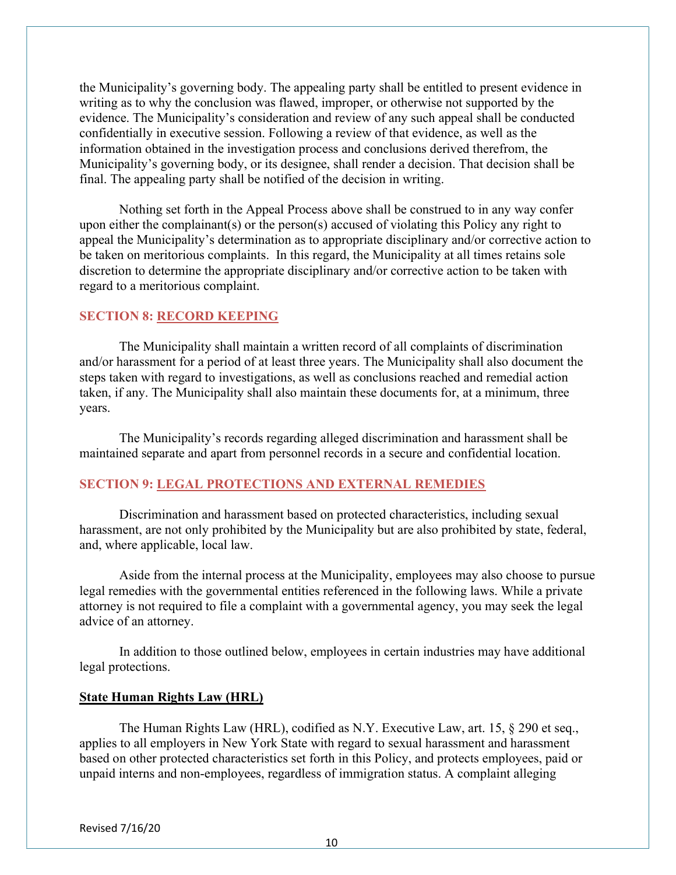the Municipality's governing body. The appealing party shall be entitled to present evidence in writing as to why the conclusion was flawed, improper, or otherwise not supported by the evidence. The Municipality's consideration and review of any such appeal shall be conducted confidentially in executive session. Following a review of that evidence, as well as the information obtained in the investigation process and conclusions derived therefrom, the Municipality's governing body, or its designee, shall render a decision. That decision shall be final. The appealing party shall be notified of the decision in writing.

 Nothing set forth in the Appeal Process above shall be construed to in any way confer upon either the complainant(s) or the person(s) accused of violating this Policy any right to appeal the Municipality's determination as to appropriate disciplinary and/or corrective action to be taken on meritorious complaints. In this regard, the Municipality at all times retains sole discretion to determine the appropriate disciplinary and/or corrective action to be taken with regard to a meritorious complaint.

### SECTION 8: RECORD KEEPING

The Municipality shall maintain a written record of all complaints of discrimination and/or harassment for a period of at least three years. The Municipality shall also document the steps taken with regard to investigations, as well as conclusions reached and remedial action taken, if any. The Municipality shall also maintain these documents for, at a minimum, three years.

 The Municipality's records regarding alleged discrimination and harassment shall be maintained separate and apart from personnel records in a secure and confidential location.

### SECTION 9: LEGAL PROTECTIONS AND EXTERNAL REMEDIES

Discrimination and harassment based on protected characteristics, including sexual harassment, are not only prohibited by the Municipality but are also prohibited by state, federal, and, where applicable, local law.

 Aside from the internal process at the Municipality, employees may also choose to pursue legal remedies with the governmental entities referenced in the following laws. While a private attorney is not required to file a complaint with a governmental agency, you may seek the legal advice of an attorney.

In addition to those outlined below, employees in certain industries may have additional legal protections.

### State Human Rights Law (HRL)

The Human Rights Law (HRL), codified as N.Y. Executive Law, art. 15, § 290 et seq., applies to all employers in New York State with regard to sexual harassment and harassment based on other protected characteristics set forth in this Policy, and protects employees, paid or unpaid interns and non-employees, regardless of immigration status. A complaint alleging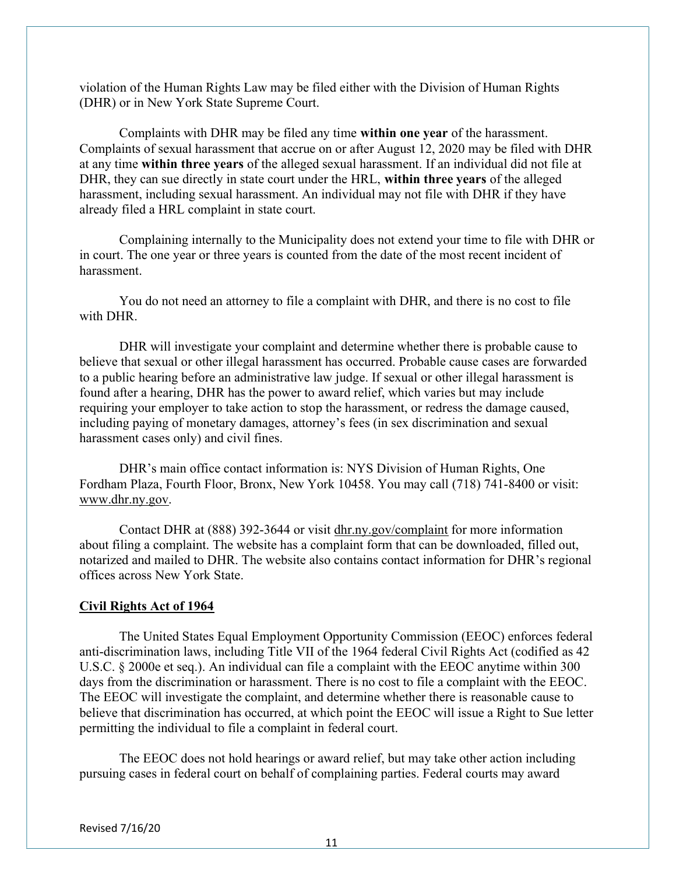violation of the Human Rights Law may be filed either with the Division of Human Rights (DHR) or in New York State Supreme Court.

Complaints with DHR may be filed any time within one year of the harassment. Complaints of sexual harassment that accrue on or after August 12, 2020 may be filed with DHR at any time within three years of the alleged sexual harassment. If an individual did not file at DHR, they can sue directly in state court under the HRL, within three years of the alleged harassment, including sexual harassment. An individual may not file with DHR if they have already filed a HRL complaint in state court.

Complaining internally to the Municipality does not extend your time to file with DHR or in court. The one year or three years is counted from the date of the most recent incident of harassment.

You do not need an attorney to file a complaint with DHR, and there is no cost to file with DHR.

DHR will investigate your complaint and determine whether there is probable cause to believe that sexual or other illegal harassment has occurred. Probable cause cases are forwarded to a public hearing before an administrative law judge. If sexual or other illegal harassment is found after a hearing, DHR has the power to award relief, which varies but may include requiring your employer to take action to stop the harassment, or redress the damage caused, including paying of monetary damages, attorney's fees (in sex discrimination and sexual harassment cases only) and civil fines.

DHR's main office contact information is: NYS Division of Human Rights, One Fordham Plaza, Fourth Floor, Bronx, New York 10458. You may call (718) 741-8400 or visit: www.dhr.ny.gov.

Contact DHR at (888) 392-3644 or visit dhr.ny.gov/complaint for more information about filing a complaint. The website has a complaint form that can be downloaded, filled out, notarized and mailed to DHR. The website also contains contact information for DHR's regional offices across New York State.

#### Civil Rights Act of 1964

The United States Equal Employment Opportunity Commission (EEOC) enforces federal anti-discrimination laws, including Title VII of the 1964 federal Civil Rights Act (codified as 42 U.S.C. § 2000e et seq.). An individual can file a complaint with the EEOC anytime within 300 days from the discrimination or harassment. There is no cost to file a complaint with the EEOC. The EEOC will investigate the complaint, and determine whether there is reasonable cause to believe that discrimination has occurred, at which point the EEOC will issue a Right to Sue letter permitting the individual to file a complaint in federal court.

The EEOC does not hold hearings or award relief, but may take other action including pursuing cases in federal court on behalf of complaining parties. Federal courts may award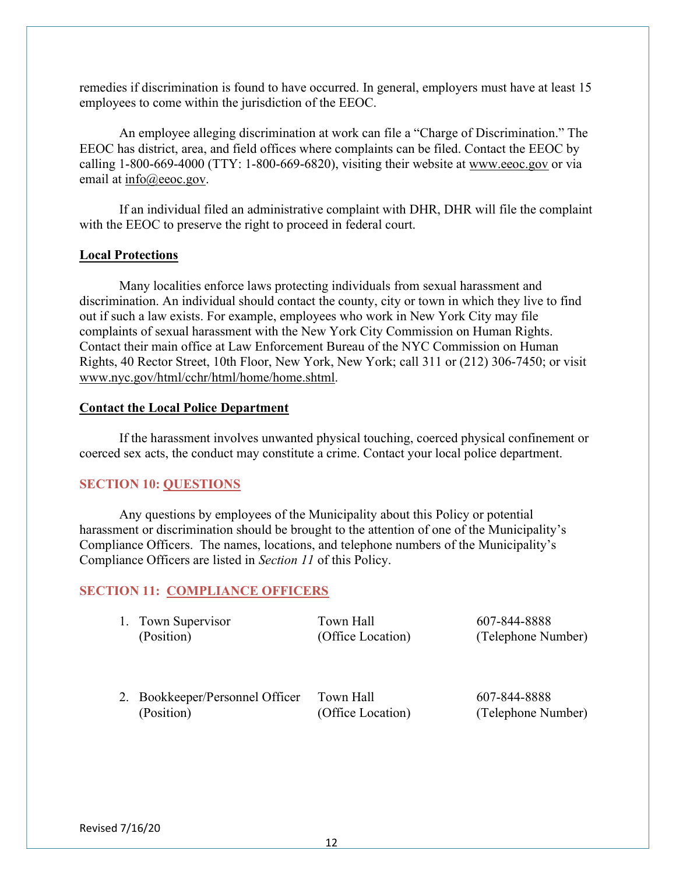remedies if discrimination is found to have occurred. In general, employers must have at least 15 employees to come within the jurisdiction of the EEOC.

An employee alleging discrimination at work can file a "Charge of Discrimination." The EEOC has district, area, and field offices where complaints can be filed. Contact the EEOC by calling 1-800-669-4000 (TTY: 1-800-669-6820), visiting their website at www.eeoc.gov or via email at info@eeoc.gov.

If an individual filed an administrative complaint with DHR, DHR will file the complaint with the EEOC to preserve the right to proceed in federal court.

### Local Protections

Many localities enforce laws protecting individuals from sexual harassment and discrimination. An individual should contact the county, city or town in which they live to find out if such a law exists. For example, employees who work in New York City may file complaints of sexual harassment with the New York City Commission on Human Rights. Contact their main office at Law Enforcement Bureau of the NYC Commission on Human Rights, 40 Rector Street, 10th Floor, New York, New York; call 311 or (212) 306-7450; or visit www.nyc.gov/html/cchr/html/home/home.shtml.

### Contact the Local Police Department

If the harassment involves unwanted physical touching, coerced physical confinement or coerced sex acts, the conduct may constitute a crime. Contact your local police department.

#### SECTION 10: QUESTIONS

 Any questions by employees of the Municipality about this Policy or potential harassment or discrimination should be brought to the attention of one of the Municipality's Compliance Officers. The names, locations, and telephone numbers of the Municipality's Compliance Officers are listed in Section 11 of this Policy.

#### SECTION 11: COMPLIANCE OFFICERS

| 1. | Town Supervisor |
|----|-----------------|
|    | (Position)      |

1. Town Hall 607-844-8888

(Office Location) (Telephone Number)

2. Bookkeeper/Personnel Officer Town Hall 607-844-8888 (Position) (Office Location) (Telephone Number)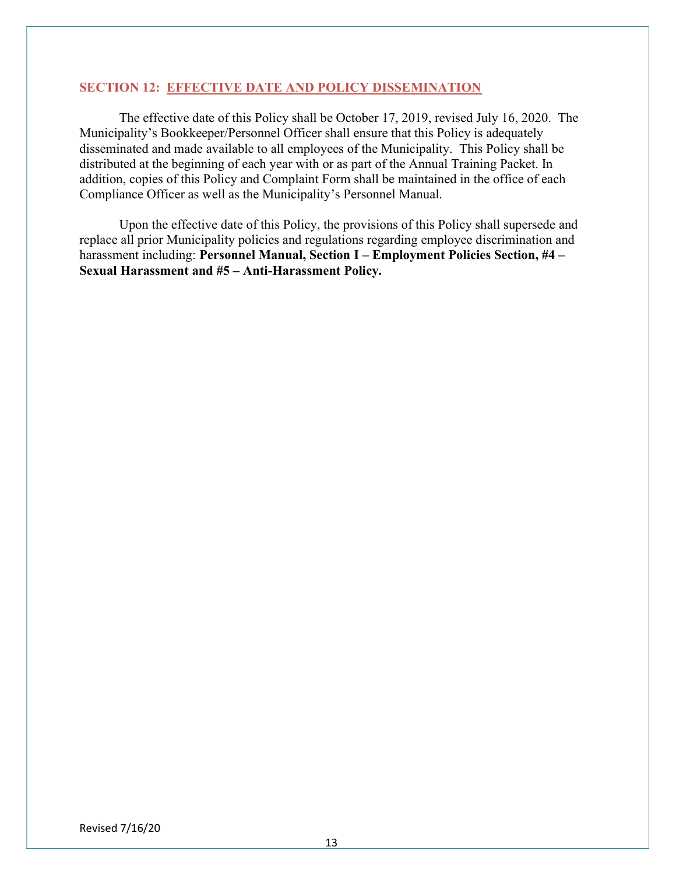### SECTION 12: EFFECTIVE DATE AND POLICY DISSEMINATION

 The effective date of this Policy shall be October 17, 2019, revised July 16, 2020. The Municipality's Bookkeeper/Personnel Officer shall ensure that this Policy is adequately disseminated and made available to all employees of the Municipality. This Policy shall be distributed at the beginning of each year with or as part of the Annual Training Packet. In addition, copies of this Policy and Complaint Form shall be maintained in the office of each Compliance Officer as well as the Municipality's Personnel Manual.

 Upon the effective date of this Policy, the provisions of this Policy shall supersede and replace all prior Municipality policies and regulations regarding employee discrimination and harassment including: Personnel Manual, Section I – Employment Policies Section, #4 – Sexual Harassment and #5 – Anti-Harassment Policy.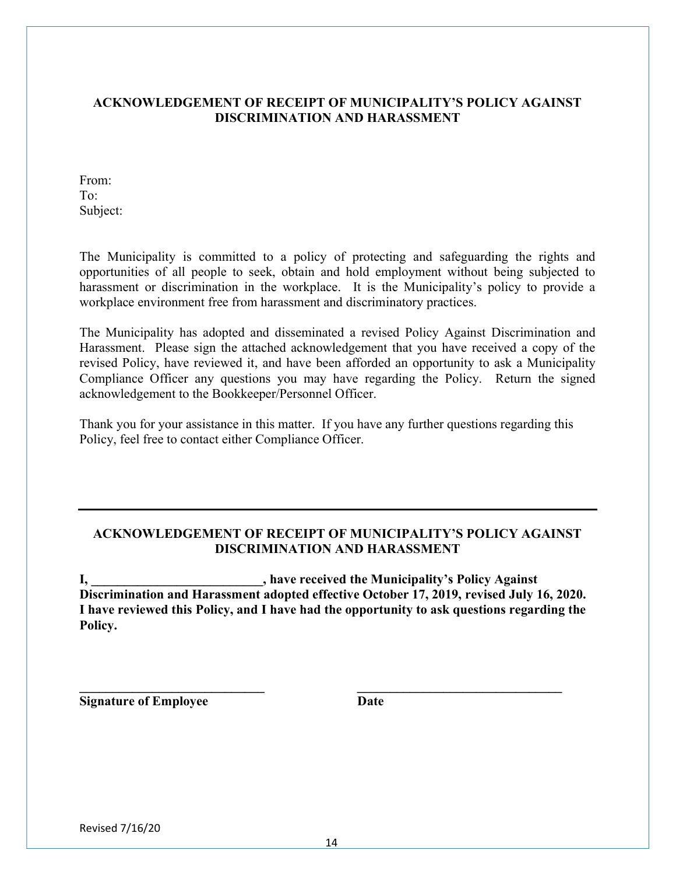# ACKNOWLEDGEMENT OF RECEIPT OF MUNICIPALITY'S POLICY AGAINST DISCRIMINATION AND HARASSMENT

From: To: Subject:

The Municipality is committed to a policy of protecting and safeguarding the rights and opportunities of all people to seek, obtain and hold employment without being subjected to harassment or discrimination in the workplace. It is the Municipality's policy to provide a workplace environment free from harassment and discriminatory practices.

The Municipality has adopted and disseminated a revised Policy Against Discrimination and Harassment. Please sign the attached acknowledgement that you have received a copy of the revised Policy, have reviewed it, and have been afforded an opportunity to ask a Municipality Compliance Officer any questions you may have regarding the Policy. Return the signed acknowledgement to the Bookkeeper/Personnel Officer.

Thank you for your assistance in this matter. If you have any further questions regarding this Policy, feel free to contact either Compliance Officer.

# ACKNOWLEDGEMENT OF RECEIPT OF MUNICIPALITY'S POLICY AGAINST DISCRIMINATION AND HARASSMENT

I, \_\_\_\_\_\_\_\_\_\_\_\_\_\_\_\_\_\_\_\_\_\_\_\_\_\_, have received the Municipality's Policy Against Discrimination and Harassment adopted effective October 17, 2019, revised July 16, 2020. I have reviewed this Policy, and I have had the opportunity to ask questions regarding the Policy.

 $\mathcal{L}_\text{max} = \mathcal{L}_\text{max} = \mathcal{L}_\text{max} = \mathcal{L}_\text{max} = \mathcal{L}_\text{max} = \mathcal{L}_\text{max} = \mathcal{L}_\text{max} = \mathcal{L}_\text{max} = \mathcal{L}_\text{max} = \mathcal{L}_\text{max} = \mathcal{L}_\text{max} = \mathcal{L}_\text{max} = \mathcal{L}_\text{max} = \mathcal{L}_\text{max} = \mathcal{L}_\text{max} = \mathcal{L}_\text{max} = \mathcal{L}_\text{max} = \mathcal{L}_\text{max} = \mathcal{$ 

Signature of Employee Date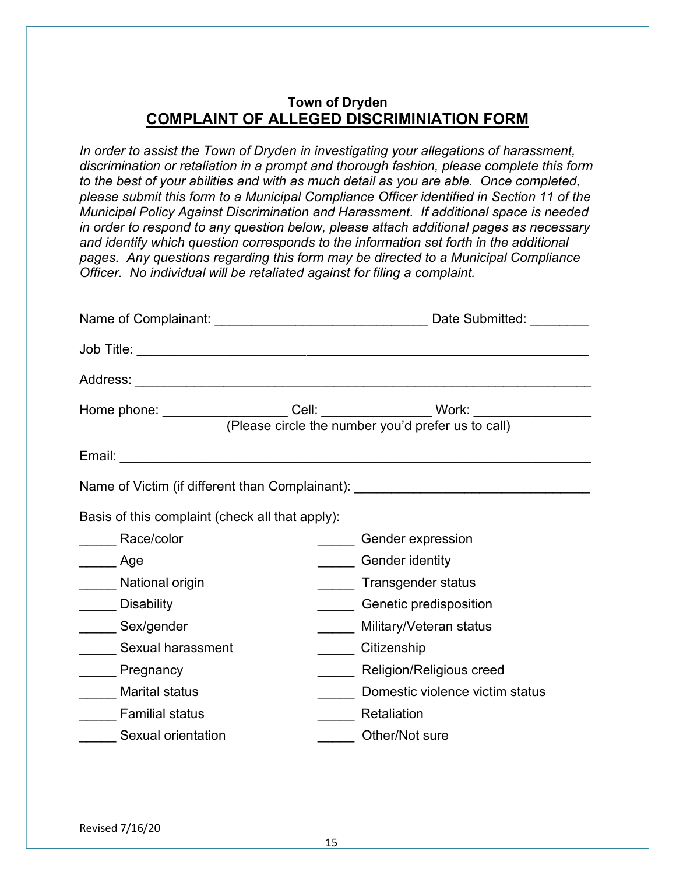# Town of Dryden COMPLAINT OF ALLEGED DISCRIMINIATION FORM

In order to assist the Town of Dryden in investigating your allegations of harassment, discrimination or retaliation in a prompt and thorough fashion, please complete this form to the best of your abilities and with as much detail as you are able. Once completed, please submit this form to a Municipal Compliance Officer identified in Section 11 of the Municipal Policy Against Discrimination and Harassment. If additional space is needed in order to respond to any question below, please attach additional pages as necessary and identify which question corresponds to the information set forth in the additional pages. Any questions regarding this form may be directed to a Municipal Compliance Officer. No individual will be retaliated against for filing a complaint.

|                                                 | Home phone: _________________Cell: ________________Work: _______________________<br>(Please circle the number you'd prefer us to call) |
|-------------------------------------------------|----------------------------------------------------------------------------------------------------------------------------------------|
|                                                 |                                                                                                                                        |
|                                                 |                                                                                                                                        |
|                                                 | Name of Victim (if different than Complainant): ________________________________                                                       |
|                                                 |                                                                                                                                        |
| Basis of this complaint (check all that apply): |                                                                                                                                        |
| Race/color                                      | Gender expression                                                                                                                      |
| Age                                             | <b>Gender identity</b>                                                                                                                 |
| National origin                                 | Transgender status                                                                                                                     |
| <b>Disability</b>                               | Genetic predisposition                                                                                                                 |
| Sex/gender                                      | Military/Veteran status                                                                                                                |
| Sexual harassment                               | Citizenship                                                                                                                            |
| Pregnancy                                       | Religion/Religious creed                                                                                                               |
| <b>Marital status</b>                           | Domestic violence victim status                                                                                                        |
| <b>Familial status</b>                          | Retaliation                                                                                                                            |
| Sexual orientation                              | Other/Not sure                                                                                                                         |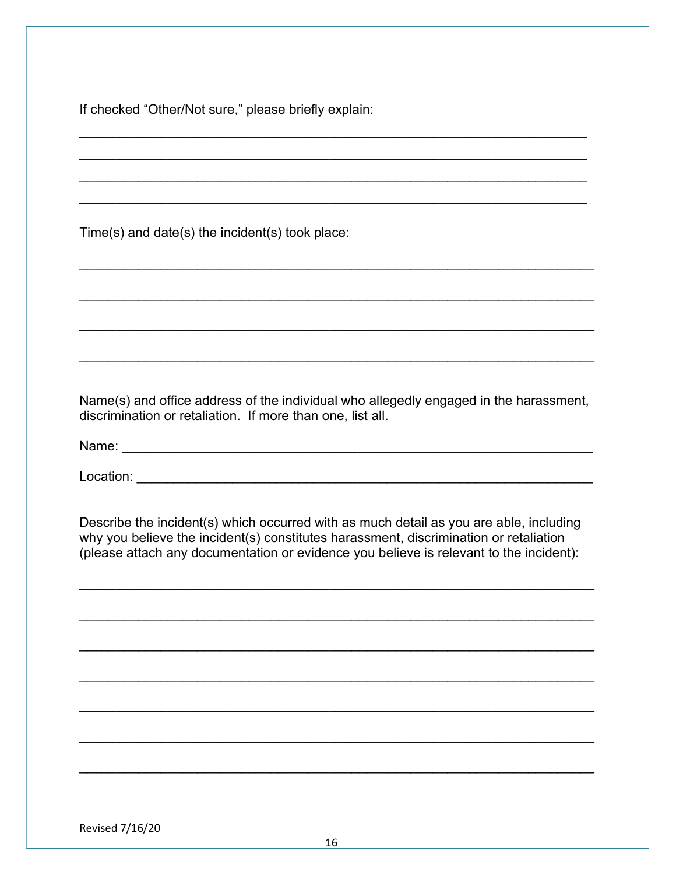If checked "Other/Not sure," please briefly explain:

Time(s) and date(s) the incident(s) took place:

Name(s) and office address of the individual who allegedly engaged in the harassment, discrimination or retaliation. If more than one, list all.

Describe the incident(s) which occurred with as much detail as you are able, including why you believe the incident(s) constitutes harassment, discrimination or retaliation (please attach any documentation or evidence you believe is relevant to the incident):

Revised 7/16/20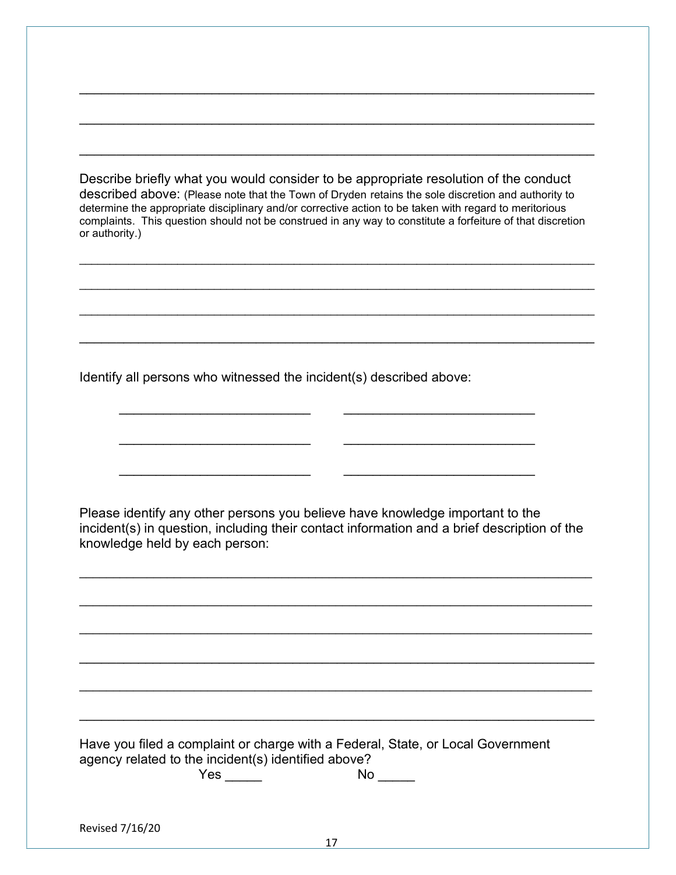Describe briefly what you would consider to be appropriate resolution of the conduct described above: (Please note that the Town of Dryden retains the sole discretion and authority to determine the appropriate disciplinary and/or corrective action to be taken with regard to meritorious complaints. This question should not be construed in any way to constitute a forfeiture of that discretion or authority.)

\_\_\_\_\_\_\_\_\_\_\_\_\_\_\_\_\_\_\_\_\_\_\_\_\_\_\_\_\_\_\_\_\_\_\_\_\_\_\_\_\_\_\_\_\_\_\_\_\_\_\_\_\_\_\_\_\_\_\_\_\_\_\_\_\_\_\_\_\_\_\_\_\_\_\_\_\_\_\_\_\_\_\_\_

\_\_\_\_\_\_\_\_\_\_\_\_\_\_\_\_\_\_\_\_\_\_\_\_\_\_\_\_\_\_\_\_\_\_\_\_\_\_\_\_\_\_\_\_\_\_\_\_\_\_\_\_\_\_\_\_\_\_\_\_\_\_\_\_\_\_\_\_\_\_

\_\_\_\_\_\_\_\_\_\_\_\_\_\_\_\_\_\_\_\_\_\_\_\_\_\_\_\_\_\_\_\_\_\_\_\_\_\_\_\_\_\_\_\_\_\_\_\_\_\_\_\_\_\_\_\_\_\_\_\_\_\_\_\_\_\_\_\_\_\_

 $\mathcal{L}_\mathcal{L} = \mathcal{L}_\mathcal{L} = \mathcal{L}_\mathcal{L} = \mathcal{L}_\mathcal{L} = \mathcal{L}_\mathcal{L} = \mathcal{L}_\mathcal{L} = \mathcal{L}_\mathcal{L} = \mathcal{L}_\mathcal{L} = \mathcal{L}_\mathcal{L} = \mathcal{L}_\mathcal{L} = \mathcal{L}_\mathcal{L} = \mathcal{L}_\mathcal{L} = \mathcal{L}_\mathcal{L} = \mathcal{L}_\mathcal{L} = \mathcal{L}_\mathcal{L} = \mathcal{L}_\mathcal{L} = \mathcal{L}_\mathcal{L}$ 

\_\_\_\_\_\_\_\_\_\_\_\_\_\_\_\_\_\_\_\_\_\_\_\_\_\_\_\_\_\_\_\_\_\_\_\_\_\_\_\_\_\_\_\_\_\_\_\_\_\_\_\_\_\_\_\_\_\_\_\_\_\_\_\_\_\_\_\_\_\_

Identify all persons who witnessed the incident(s) described above:

 $\mathcal{L}_\text{max} = \frac{1}{2} \sum_{i=1}^{n} \frac{1}{2} \sum_{i=1}^{n} \frac{1}{2} \sum_{i=1}^{n} \frac{1}{2} \sum_{i=1}^{n} \frac{1}{2} \sum_{i=1}^{n} \frac{1}{2} \sum_{i=1}^{n} \frac{1}{2} \sum_{i=1}^{n} \frac{1}{2} \sum_{i=1}^{n} \frac{1}{2} \sum_{i=1}^{n} \frac{1}{2} \sum_{i=1}^{n} \frac{1}{2} \sum_{i=1}^{n} \frac{1}{2} \sum_{i=1}^{n} \frac{1$ 

 $\frac{1}{2}$  ,  $\frac{1}{2}$  ,  $\frac{1}{2}$  ,  $\frac{1}{2}$  ,  $\frac{1}{2}$  ,  $\frac{1}{2}$  ,  $\frac{1}{2}$  ,  $\frac{1}{2}$  ,  $\frac{1}{2}$  ,  $\frac{1}{2}$  ,  $\frac{1}{2}$  ,  $\frac{1}{2}$  ,  $\frac{1}{2}$  ,  $\frac{1}{2}$  ,  $\frac{1}{2}$  ,  $\frac{1}{2}$  ,  $\frac{1}{2}$  ,  $\frac{1}{2}$  ,  $\frac{1$ 

 $\frac{1}{2}$  ,  $\frac{1}{2}$  ,  $\frac{1}{2}$  ,  $\frac{1}{2}$  ,  $\frac{1}{2}$  ,  $\frac{1}{2}$  ,  $\frac{1}{2}$  ,  $\frac{1}{2}$  ,  $\frac{1}{2}$  ,  $\frac{1}{2}$  ,  $\frac{1}{2}$  ,  $\frac{1}{2}$  ,  $\frac{1}{2}$  ,  $\frac{1}{2}$  ,  $\frac{1}{2}$  ,  $\frac{1}{2}$  ,  $\frac{1}{2}$  ,  $\frac{1}{2}$  ,  $\frac{1$ 

Please identify any other persons you believe have knowledge important to the incident(s) in question, including their contact information and a brief description of the knowledge held by each person:

 $\mathcal{L}_\text{max}$  and  $\mathcal{L}_\text{max}$  and  $\mathcal{L}_\text{max}$  and  $\mathcal{L}_\text{max}$  and  $\mathcal{L}_\text{max}$  and  $\mathcal{L}_\text{max}$ 

 $\mathcal{L}_\text{max}$  and  $\mathcal{L}_\text{max}$  and  $\mathcal{L}_\text{max}$  and  $\mathcal{L}_\text{max}$  and  $\mathcal{L}_\text{max}$  and  $\mathcal{L}_\text{max}$ 

 $\mathcal{L}_\mathcal{L} = \mathcal{L}_\mathcal{L} = \mathcal{L}_\mathcal{L} = \mathcal{L}_\mathcal{L} = \mathcal{L}_\mathcal{L} = \mathcal{L}_\mathcal{L} = \mathcal{L}_\mathcal{L} = \mathcal{L}_\mathcal{L} = \mathcal{L}_\mathcal{L} = \mathcal{L}_\mathcal{L} = \mathcal{L}_\mathcal{L} = \mathcal{L}_\mathcal{L} = \mathcal{L}_\mathcal{L} = \mathcal{L}_\mathcal{L} = \mathcal{L}_\mathcal{L} = \mathcal{L}_\mathcal{L} = \mathcal{L}_\mathcal{L}$ 

 $\mathcal{L}_\text{max}$  and  $\mathcal{L}_\text{max}$  and  $\mathcal{L}_\text{max}$  and  $\mathcal{L}_\text{max}$  and  $\mathcal{L}_\text{max}$  and  $\mathcal{L}_\text{max}$ 

 $\mathcal{L}_\mathcal{L} = \mathcal{L}_\mathcal{L} = \mathcal{L}_\mathcal{L} = \mathcal{L}_\mathcal{L} = \mathcal{L}_\mathcal{L} = \mathcal{L}_\mathcal{L} = \mathcal{L}_\mathcal{L} = \mathcal{L}_\mathcal{L} = \mathcal{L}_\mathcal{L} = \mathcal{L}_\mathcal{L} = \mathcal{L}_\mathcal{L} = \mathcal{L}_\mathcal{L} = \mathcal{L}_\mathcal{L} = \mathcal{L}_\mathcal{L} = \mathcal{L}_\mathcal{L} = \mathcal{L}_\mathcal{L} = \mathcal{L}_\mathcal{L}$ 

Have you filed a complaint or charge with a Federal, State, or Local Government agency related to the incident(s) identified above? Yes \_\_\_\_\_ No \_\_\_\_\_

Revised 7/16/20